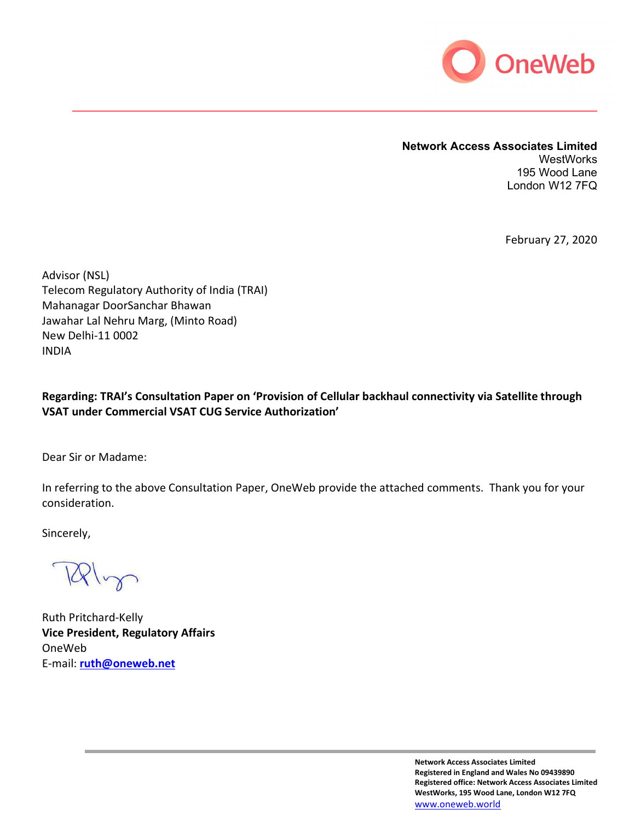

#### Network Access Associates Limited **WestWorks** 195 Wood Lane London W12 7FQ

February 27, 2020

Advisor (NSL) Telecom Regulatory Authority of India (TRAI) Mahanagar DoorSanchar Bhawan Jawahar Lal Nehru Marg, (Minto Road) New Delhi-11 0002 INDIA

Regarding: TRAI's Consultation Paper on 'Provision of Cellular backhaul connectivity via Satellite through VSAT under Commercial VSAT CUG Service Authorization'

Dear Sir or Madame:

In referring to the above Consultation Paper, OneWeb provide the attached comments. Thank you for your consideration.

Sincerely,

Ruth Pritchard-Kelly Vice President, Regulatory Affairs OneWeb E-mail: ruth@oneweb.net

Network Access Associates Limited Registered in England and Wales No 09439890 Registered office: Network Access Associates Limited WestWorks, 195 Wood Lane, London W12 7FQ www.oneweb.world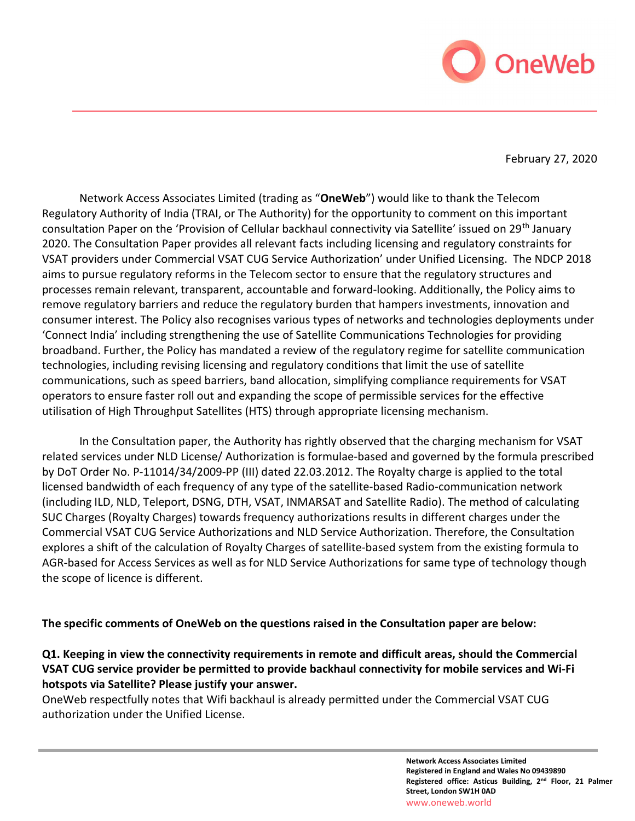

February 27, 2020

Network Access Associates Limited (trading as "OneWeb") would like to thank the Telecom Regulatory Authority of India (TRAI, or The Authority) for the opportunity to comment on this important consultation Paper on the 'Provision of Cellular backhaul connectivity via Satellite' issued on 29<sup>th</sup> January 2020. The Consultation Paper provides all relevant facts including licensing and regulatory constraints for VSAT providers under Commercial VSAT CUG Service Authorization' under Unified Licensing. The NDCP 2018 aims to pursue regulatory reforms in the Telecom sector to ensure that the regulatory structures and processes remain relevant, transparent, accountable and forward-looking. Additionally, the Policy aims to remove regulatory barriers and reduce the regulatory burden that hampers investments, innovation and consumer interest. The Policy also recognises various types of networks and technologies deployments under 'Connect India' including strengthening the use of Satellite Communications Technologies for providing broadband. Further, the Policy has mandated a review of the regulatory regime for satellite communication technologies, including revising licensing and regulatory conditions that limit the use of satellite communications, such as speed barriers, band allocation, simplifying compliance requirements for VSAT operators to ensure faster roll out and expanding the scope of permissible services for the effective utilisation of High Throughput Satellites (HTS) through appropriate licensing mechanism.

In the Consultation paper, the Authority has rightly observed that the charging mechanism for VSAT related services under NLD License/ Authorization is formulae-based and governed by the formula prescribed by DoT Order No. P-11014/34/2009-PP (III) dated 22.03.2012. The Royalty charge is applied to the total licensed bandwidth of each frequency of any type of the satellite-based Radio-communication network (including ILD, NLD, Teleport, DSNG, DTH, VSAT, INMARSAT and Satellite Radio). The method of calculating SUC Charges (Royalty Charges) towards frequency authorizations results in different charges under the Commercial VSAT CUG Service Authorizations and NLD Service Authorization. Therefore, the Consultation explores a shift of the calculation of Royalty Charges of satellite-based system from the existing formula to AGR-based for Access Services as well as for NLD Service Authorizations for same type of technology though the scope of licence is different.

#### The specific comments of OneWeb on the questions raised in the Consultation paper are below:

Q1. Keeping in view the connectivity requirements in remote and difficult areas, should the Commercial VSAT CUG service provider be permitted to provide backhaul connectivity for mobile services and Wi-Fi hotspots via Satellite? Please justify your answer.

OneWeb respectfully notes that Wifi backhaul is already permitted under the Commercial VSAT CUG authorization under the Unified License.

> Network Access Associates Limited Registered in England and Wales No 09439890 Registered office: Asticus Building, 2<sup>nd</sup> Floor, 21 Palmer Street, London SW1H 0AD www.oneweb.world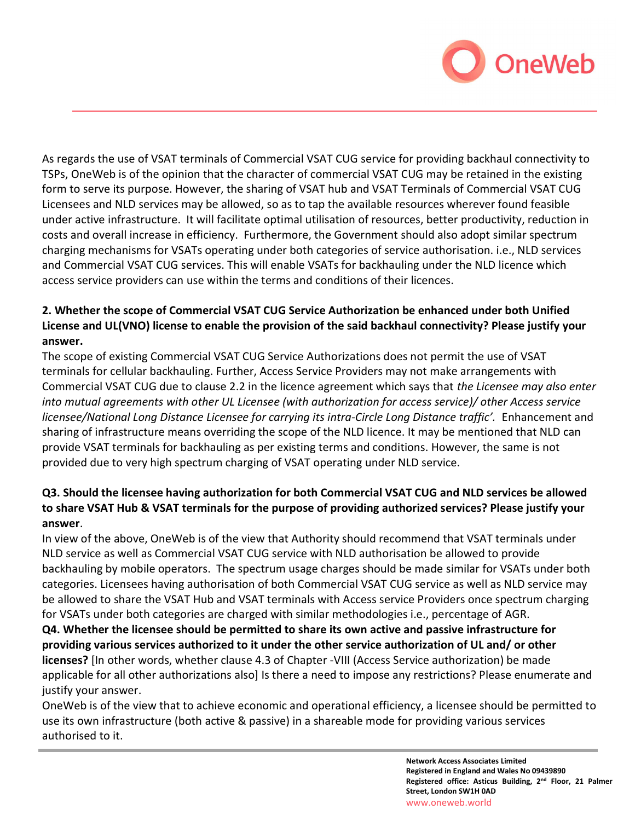

As regards the use of VSAT terminals of Commercial VSAT CUG service for providing backhaul connectivity to TSPs, OneWeb is of the opinion that the character of commercial VSAT CUG may be retained in the existing form to serve its purpose. However, the sharing of VSAT hub and VSAT Terminals of Commercial VSAT CUG Licensees and NLD services may be allowed, so as to tap the available resources wherever found feasible under active infrastructure. It will facilitate optimal utilisation of resources, better productivity, reduction in costs and overall increase in efficiency. Furthermore, the Government should also adopt similar spectrum charging mechanisms for VSATs operating under both categories of service authorisation. i.e., NLD services and Commercial VSAT CUG services. This will enable VSATs for backhauling under the NLD licence which access service providers can use within the terms and conditions of their licences.

# 2. Whether the scope of Commercial VSAT CUG Service Authorization be enhanced under both Unified License and UL(VNO) license to enable the provision of the said backhaul connectivity? Please justify your answer.

The scope of existing Commercial VSAT CUG Service Authorizations does not permit the use of VSAT terminals for cellular backhauling. Further, Access Service Providers may not make arrangements with Commercial VSAT CUG due to clause 2.2 in the licence agreement which says that the Licensee may also enter into mutual agreements with other UL Licensee (with authorization for access service)/ other Access service licensee/National Long Distance Licensee for carrying its intra-Circle Long Distance traffic'. Enhancement and sharing of infrastructure means overriding the scope of the NLD licence. It may be mentioned that NLD can provide VSAT terminals for backhauling as per existing terms and conditions. However, the same is not provided due to very high spectrum charging of VSAT operating under NLD service.

# Q3. Should the licensee having authorization for both Commercial VSAT CUG and NLD services be allowed to share VSAT Hub & VSAT terminals for the purpose of providing authorized services? Please justify your answer.

In view of the above, OneWeb is of the view that Authority should recommend that VSAT terminals under NLD service as well as Commercial VSAT CUG service with NLD authorisation be allowed to provide backhauling by mobile operators. The spectrum usage charges should be made similar for VSATs under both categories. Licensees having authorisation of both Commercial VSAT CUG service as well as NLD service may be allowed to share the VSAT Hub and VSAT terminals with Access service Providers once spectrum charging for VSATs under both categories are charged with similar methodologies i.e., percentage of AGR.

Q4. Whether the licensee should be permitted to share its own active and passive infrastructure for providing various services authorized to it under the other service authorization of UL and/ or other licenses? [In other words, whether clause 4.3 of Chapter -VIII (Access Service authorization) be made applicable for all other authorizations also] Is there a need to impose any restrictions? Please enumerate and justify your answer.

OneWeb is of the view that to achieve economic and operational efficiency, a licensee should be permitted to use its own infrastructure (both active & passive) in a shareable mode for providing various services authorised to it.

> Network Access Associates Limited Registered in England and Wales No 09439890 Registered office: Asticus Building, 2<sup>nd</sup> Floor, 21 Palmer Street, London SW1H 0AD www.oneweb.world